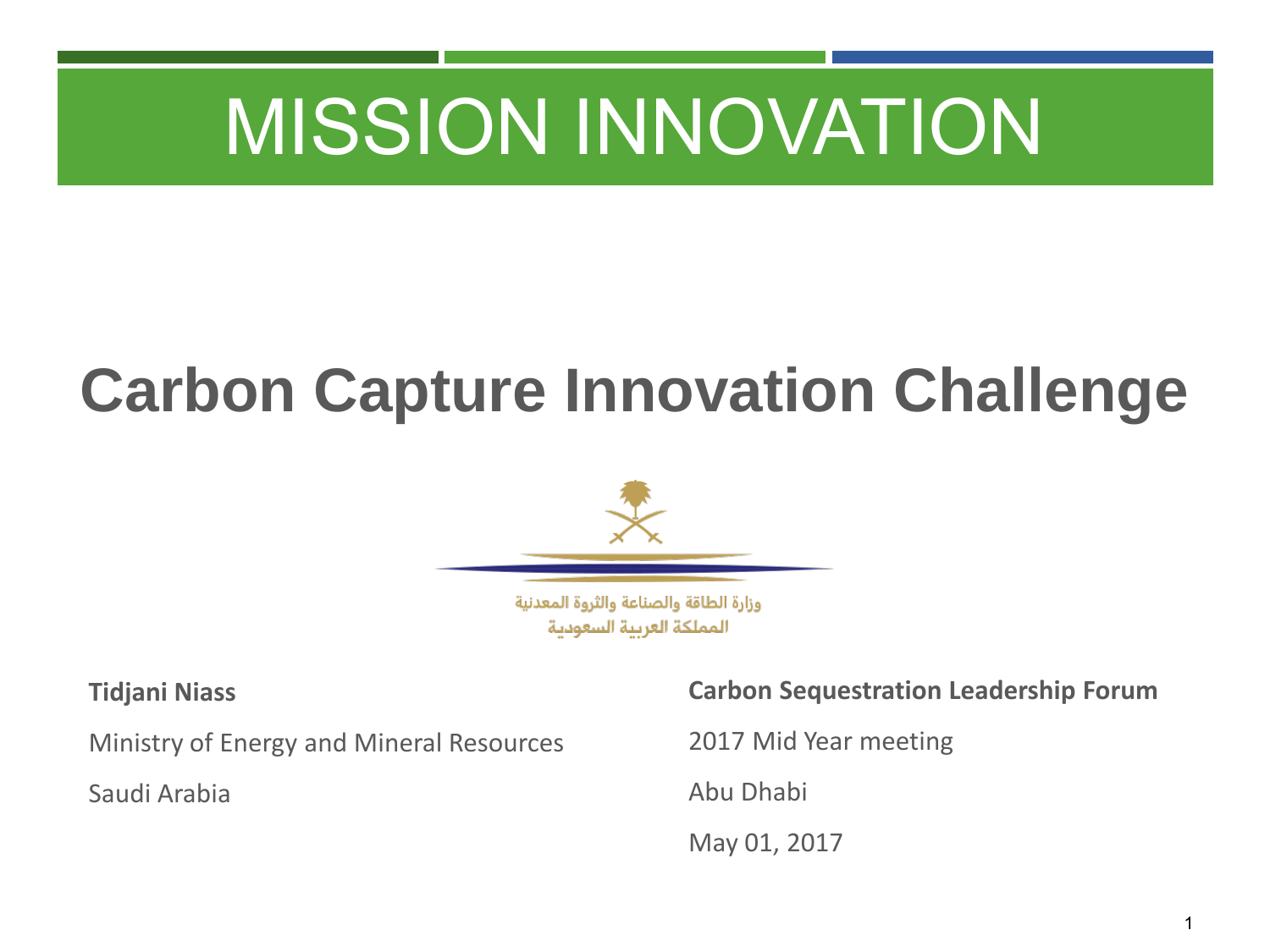## **Carbon Capture Innovation Challenge**



وزارة الطاقة والصناعة والثروة المعدنية المملكة العربية السعودية

#### **Tidjani Niass**

Ministry of Energy and Mineral Resources

Saudi Arabia

**Carbon Sequestration Leadership Forum**

2017 Mid Year meeting

Abu Dhabi

May 01, 2017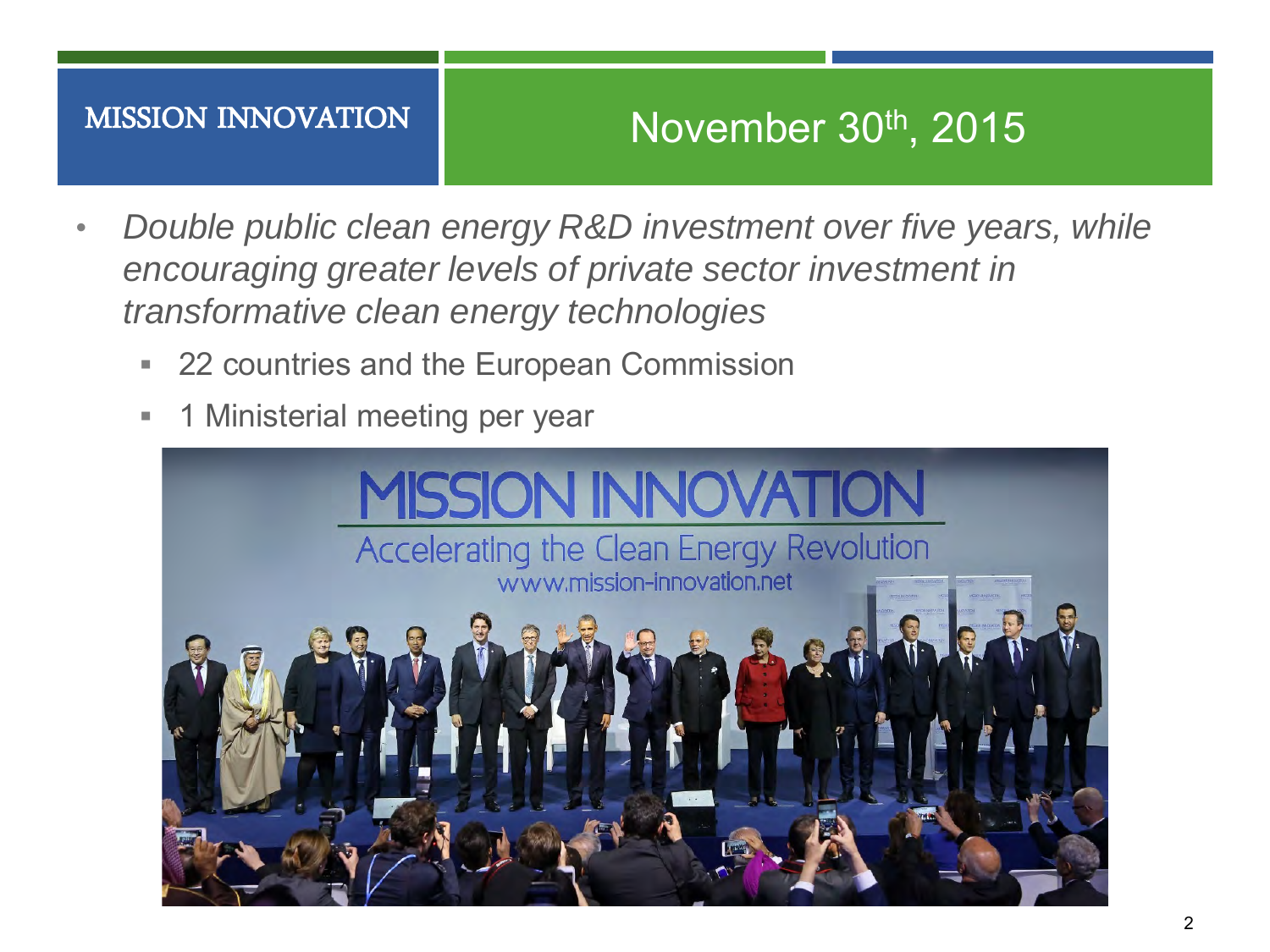## November 30th, 2015

- *Double public clean energy R&D investment over five years, while encouraging greater levels of private sector investment in transformative clean energy technologies*
	- 22 countries and the European Commission
	- **1** Ministerial meeting per year

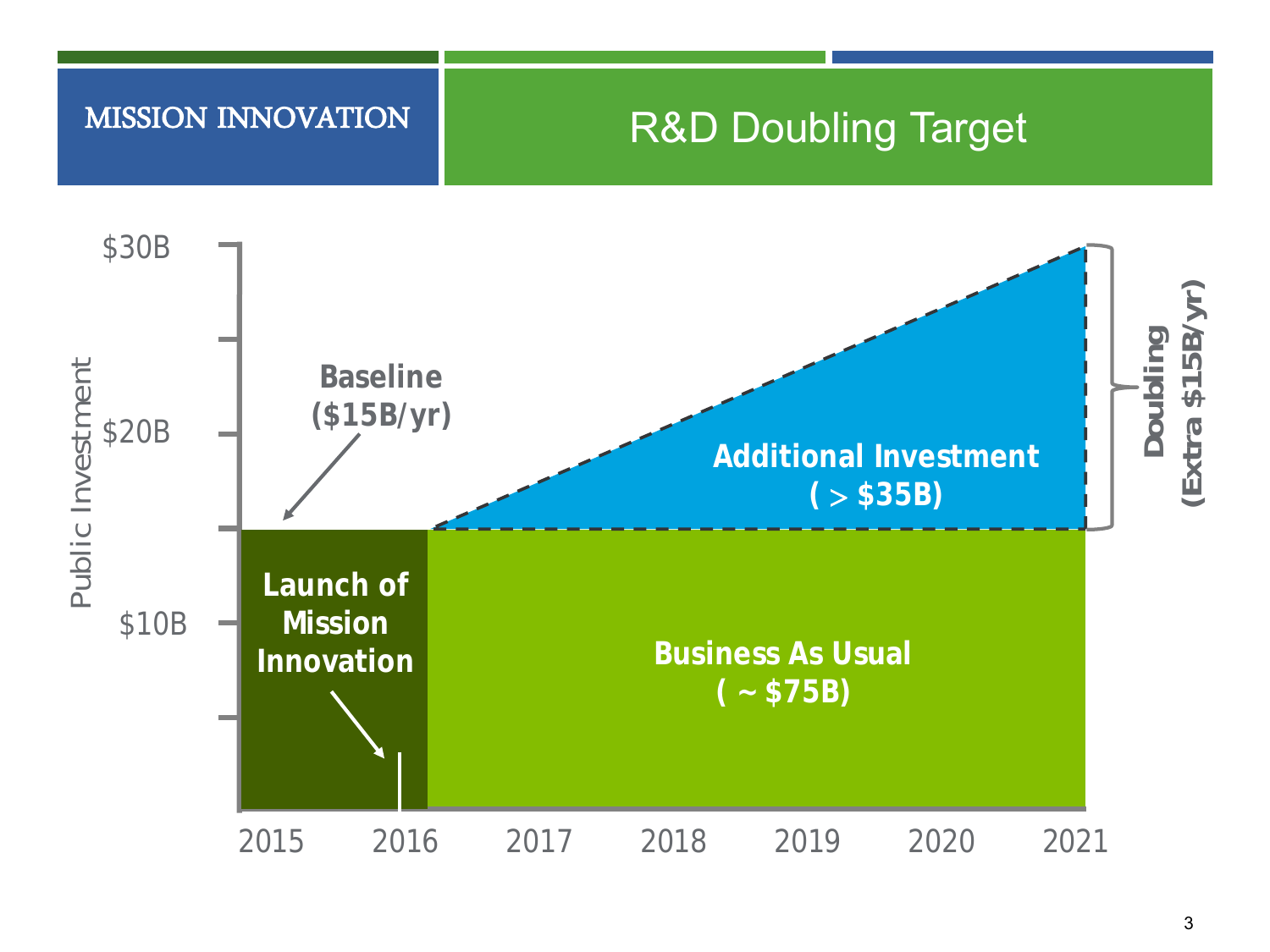### R&D Doubling Target



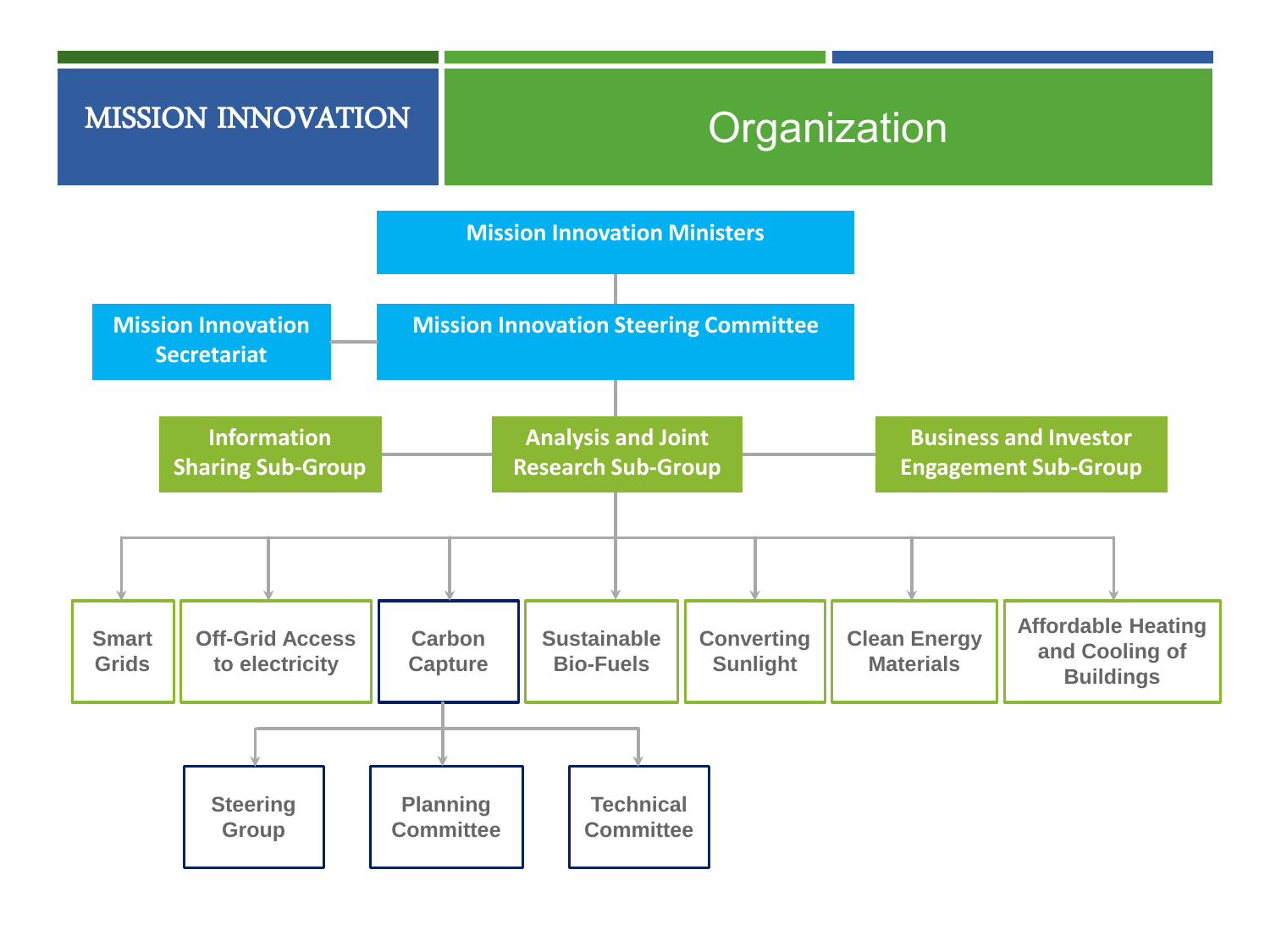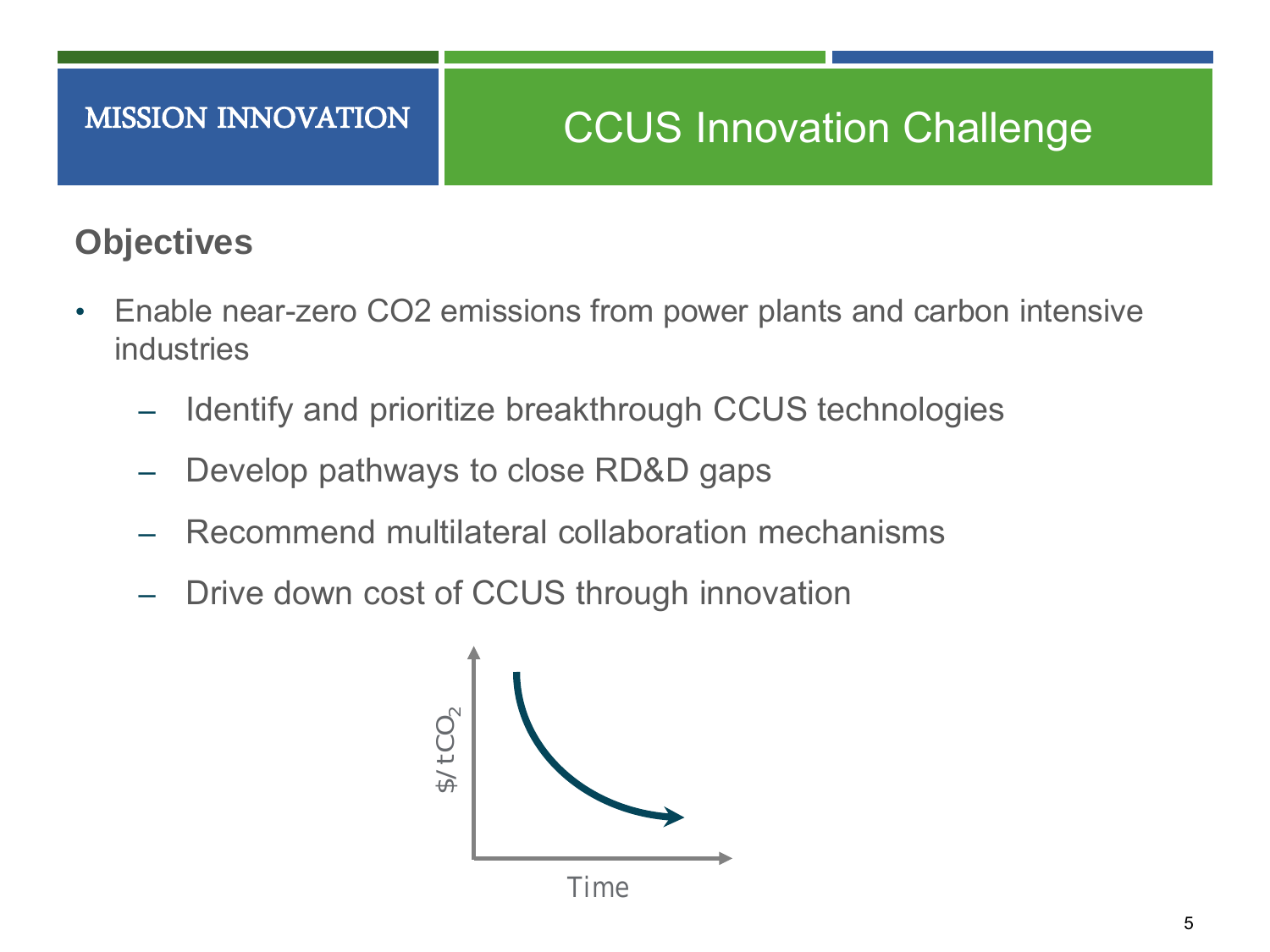### **Objectives**

- Enable near-zero CO2 emissions from power plants and carbon intensive industries
	- Identify and prioritize breakthrough CCUS technologies
	- Develop pathways to close RD&D gaps
	- ‒ Recommend multilateral collaboration mechanisms
	- ‒ Drive down cost of CCUS through innovation

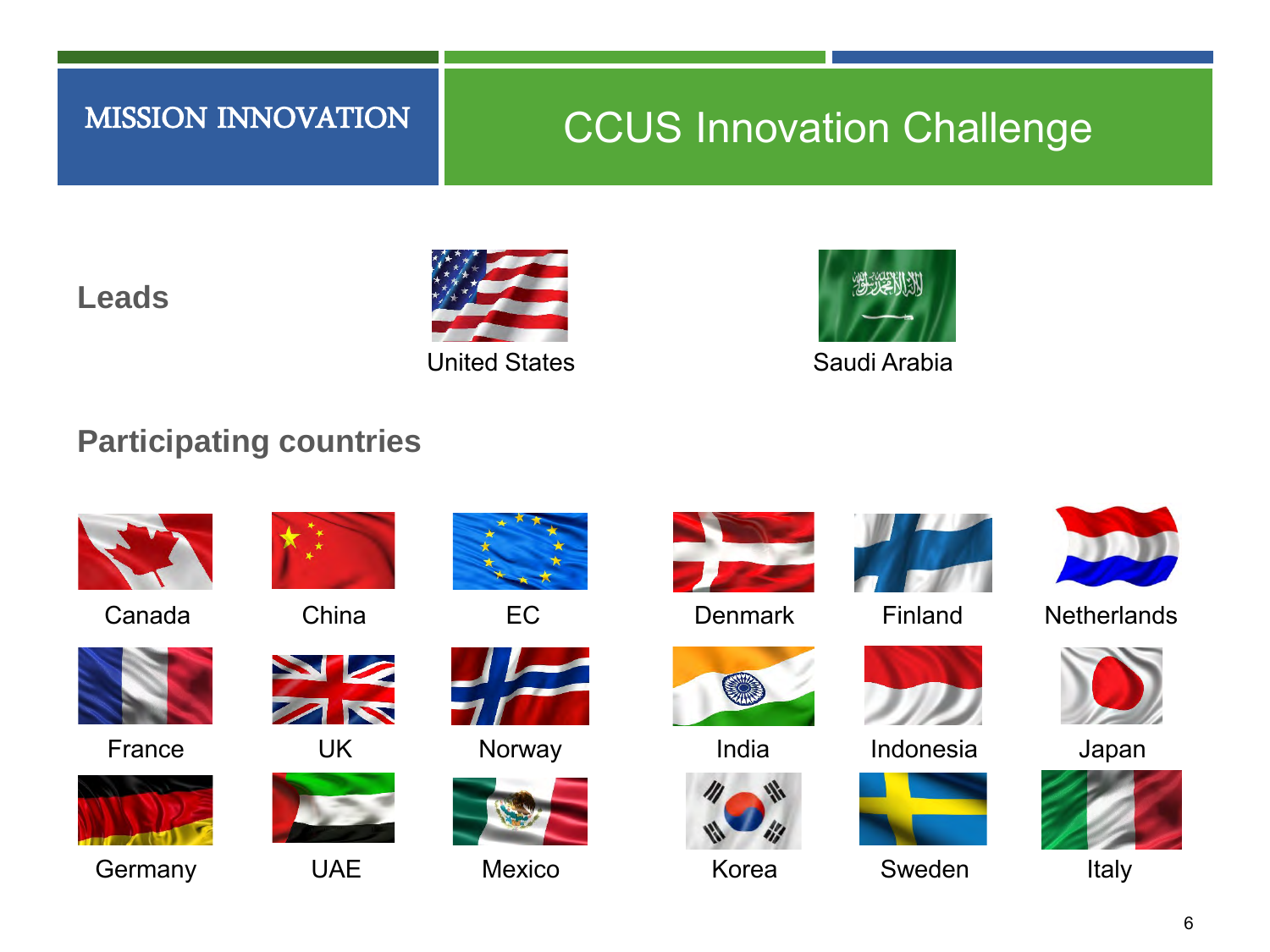## CCUS Innovation Challenge

#### **Leads**



United States **Saudi Arabia** 



#### **Participating countries**



Canada China EC



France



Germany UAE Mexico















**Denmark** 



India



Korea



Finland



UK Norway Japan Indonesia







**Netherlands** 





Italy

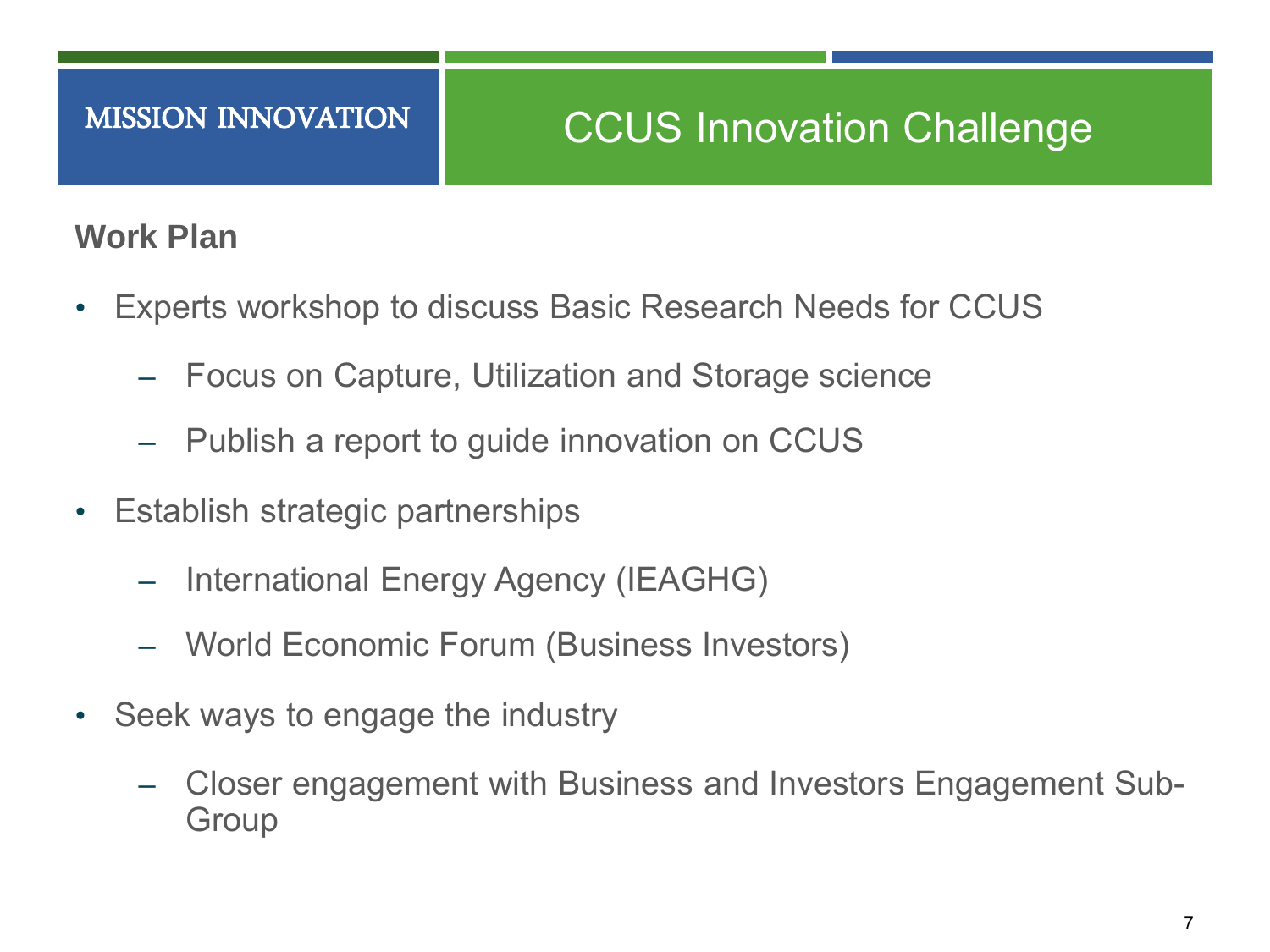#### **Work Plan**

- Experts workshop to discuss Basic Research Needs for CCUS
	- ‒ Focus on Capture, Utilization and Storage science
	- ‒ Publish a report to guide innovation on CCUS
- Establish strategic partnerships
	- ‒ International Energy Agency (IEAGHG)
	- ‒ World Economic Forum (Business Investors)
- Seek ways to engage the industry
	- ‒ Closer engagement with Business and Investors Engagement Sub-**Group**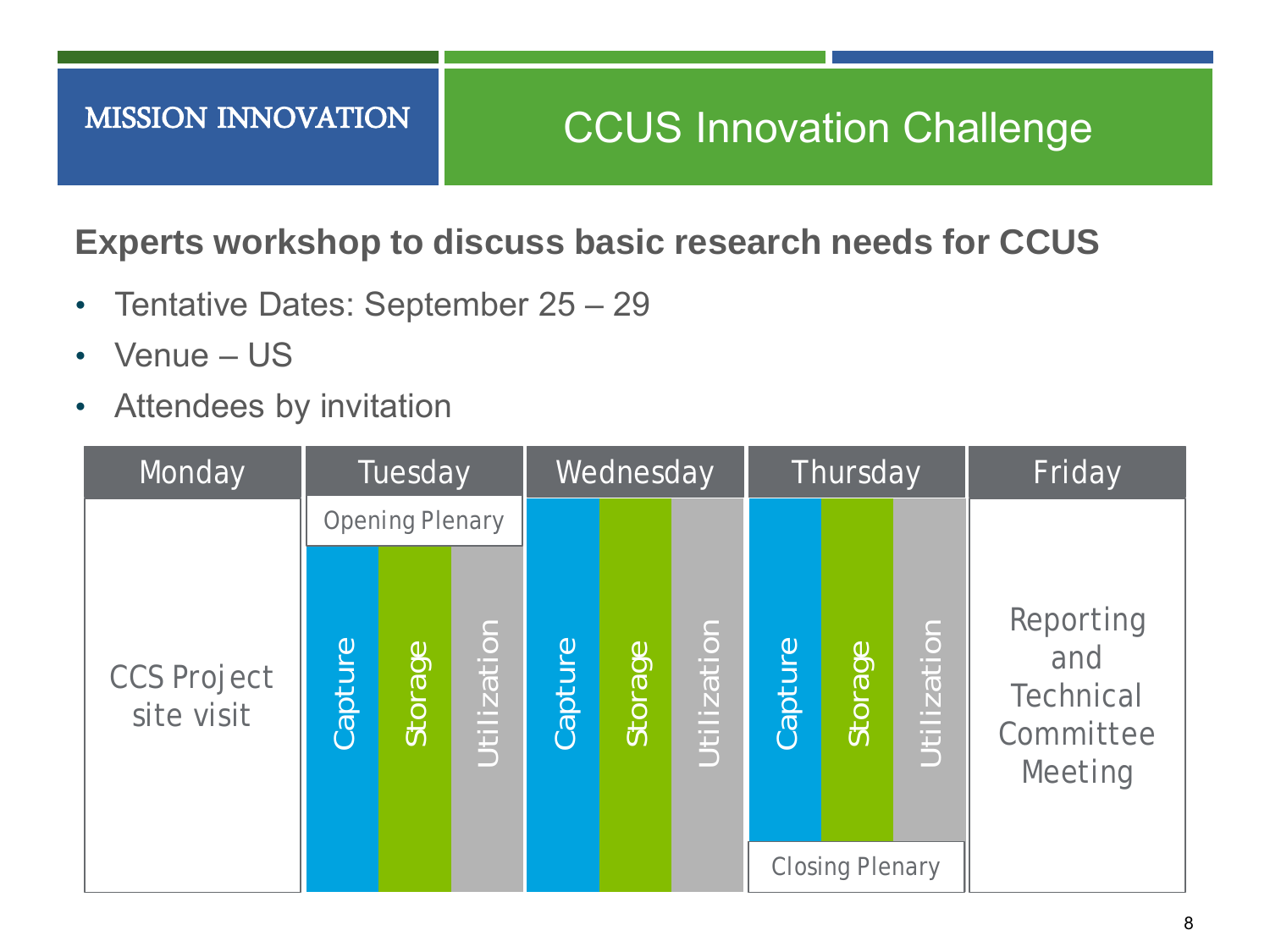### **Experts workshop to discuss basic research needs for CCUS**

- Tentative Dates: September 25 29
- Venue US
- Attendees by invitation

| Monday                           | Tuesday                |         |             | Wednesday |         |             | Thursday |                                   |             | Friday                                                |
|----------------------------------|------------------------|---------|-------------|-----------|---------|-------------|----------|-----------------------------------|-------------|-------------------------------------------------------|
|                                  | <b>Opening Plenary</b> |         |             |           |         |             |          |                                   |             |                                                       |
| <b>CCS Project</b><br>site visit | Capture                | Storage | Utilization | Capture   | Storage | Utilization | Capture  | Storage<br><b>Closing Plenary</b> | Utilization | Reporting<br>and<br>Technical<br>Committee<br>Meeting |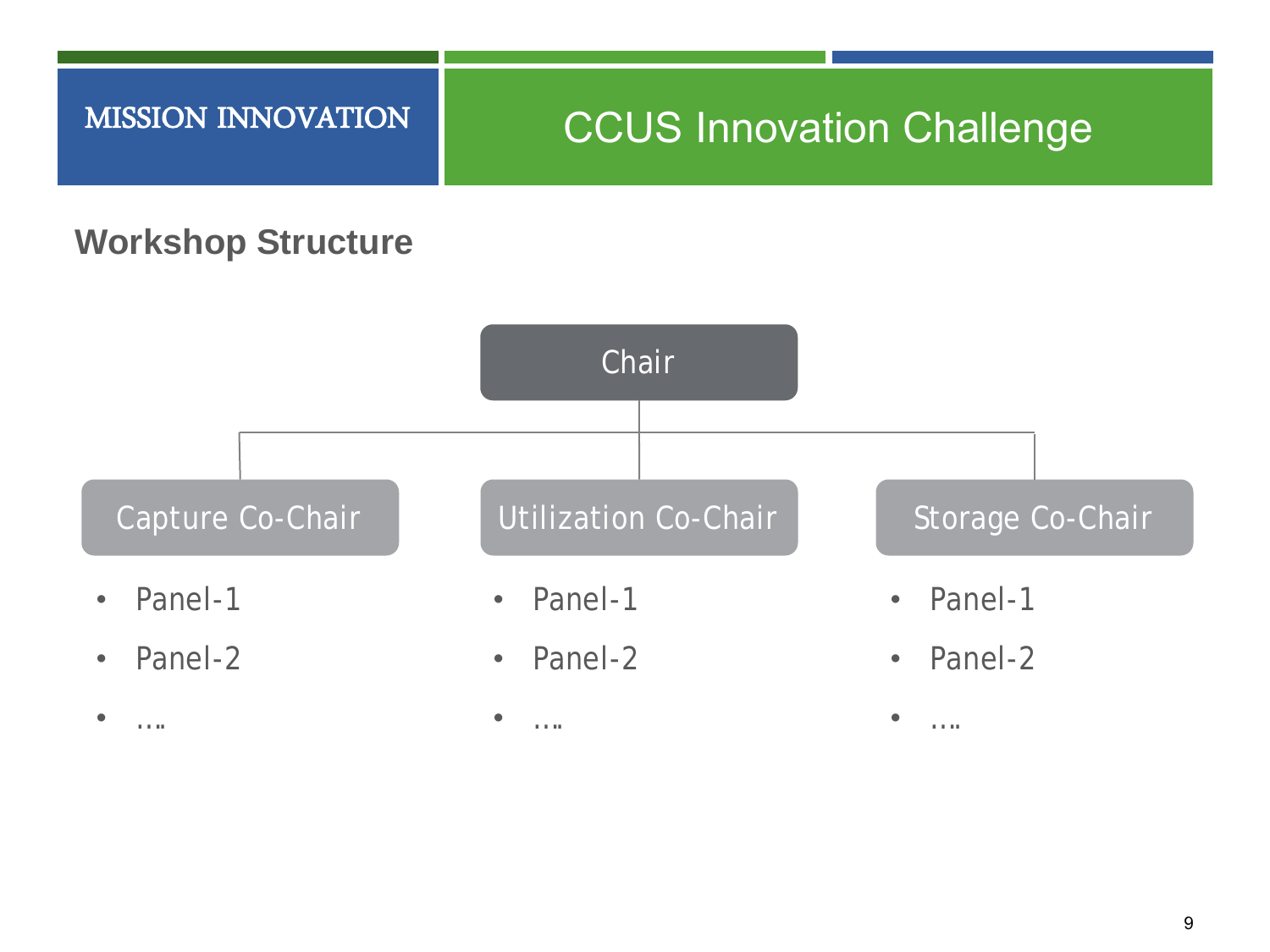## **CCUS Innovation Challenge**

#### **Workshop Structure**

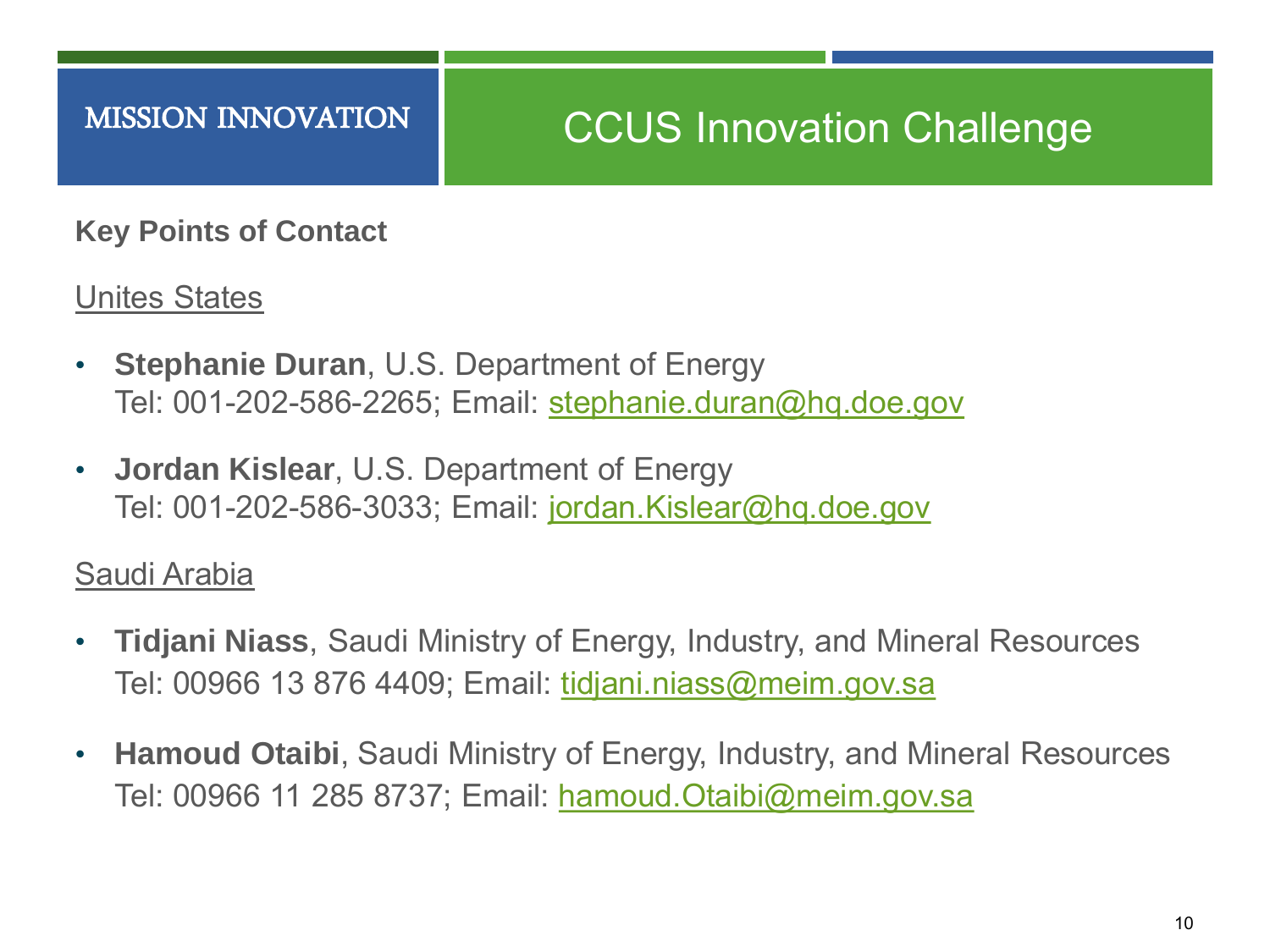**Key Points of Contact**

Unites States

- **Stephanie Duran**, U.S. Department of Energy Tel: 001-202-586-2265; Email: [stephanie.duran@hq.doe.gov](mailto:stephanie.duran@hq.doe.gov)
- **Jordan Kislear**, U.S. Department of Energy Tel: 001-202-586-3033; Email: [jordan.Kislear@hq.doe.gov](mailto:jordan.Kislear@hq.doe.gov)

Saudi Arabia

- **Tidjani Niass**, Saudi Ministry of Energy, Industry, and Mineral Resources Tel: 00966 13 876 4409; Email: [tidjani.niass@meim.gov.sa](mailto:tidjani.niass@meim.gov.sa)
- **Hamoud Otaibi**, Saudi Ministry of Energy, Industry, and Mineral Resources Tel: 00966 11 285 8737; Email: [hamoud.Otaibi@meim.gov.sa](mailto:hamoud.Otaibi@meim.gov.sa)